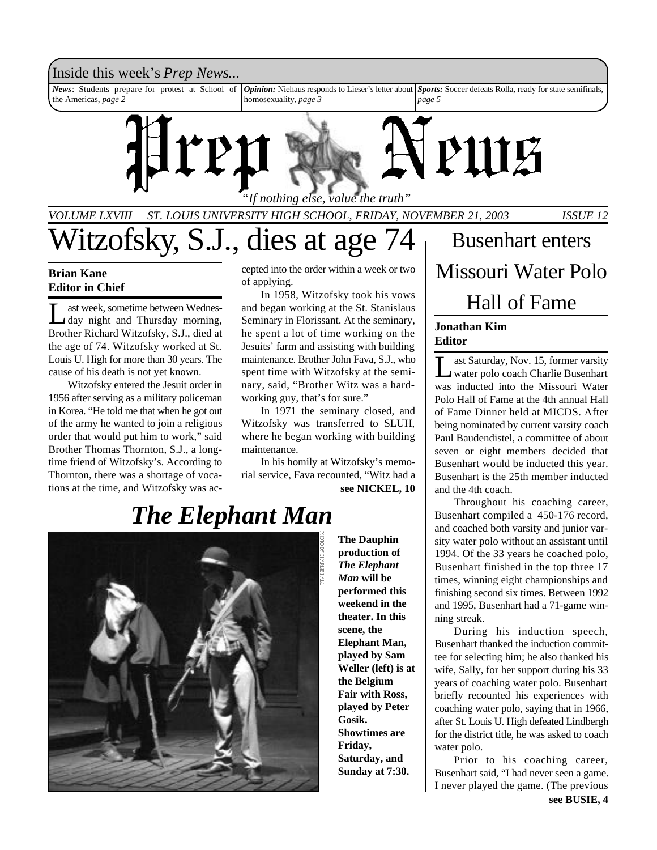

*VOLUME LXVIII ST. LOUIS UNIVERSITY HIGH SCHOOL, FRIDAY, NOVEMBER 21, 2003 ISSUE 12*

Witzofsky, S.J., dies at age 74

### **Brian Kane Editor in Chief**

Let week, sometime between Wednes-<br>
day night and Thursday morning, ast week, sometime between Wednes-Brother Richard Witzofsky, S.J., died at the age of 74. Witzofsky worked at St. Louis U. High for more than 30 years. The cause of his death is not yet known.

Witzofsky entered the Jesuit order in 1956 after serving as a military policeman in Korea. "He told me that when he got out of the army he wanted to join a religious order that would put him to work," said Brother Thomas Thornton, S.J., a longtime friend of Witzofsky's. According to Thornton, there was a shortage of vocations at the time, and Witzofsky was accepted into the order within a week or two of applying.

In 1958, Witzofsky took his vows and began working at the St. Stanislaus Seminary in Florissant. At the seminary, he spent a lot of time working on the Jesuits' farm and assisting with building maintenance. Brother John Fava, S.J., who spent time with Witzofsky at the seminary, said, "Brother Witz was a hardworking guy, that's for sure."

In 1971 the seminary closed, and Witzofsky was transferred to SLUH, where he began working with building maintenance.

**see NICKEL, 10** In his homily at Witzofsky's memorial service, Fava recounted, "Witz had a

**The Dauphin production of** *The Elephant Man* **will be performed this weekend in the theater. In this scene, the Elephant Man, played by Sam Weller (left) is at the Belgium Fair with Ross, played by Peter Gosik. Showtimes are Friday, Saturday, and Sunday at 7:30.**

Busenhart enters Missouri Water Polo Hall of Fame

#### **Jonathan Kim Editor**

L ast Saturday, Nov. 15, former varsity water polo coach Charlie Busenhart was inducted into the Missouri Water Polo Hall of Fame at the 4th annual Hall of Fame Dinner held at MICDS. After being nominated by current varsity coach Paul Baudendistel, a committee of about seven or eight members decided that Busenhart would be inducted this year. Busenhart is the 25th member inducted and the 4th coach.

Throughout his coaching career, Busenhart compiled a 450-176 record, and coached both varsity and junior varsity water polo without an assistant until 1994. Of the 33 years he coached polo, Busenhart finished in the top three 17 times, winning eight championships and finishing second six times. Between 1992 and 1995, Busenhart had a 71-game winning streak.

During his induction speech, Busenhart thanked the induction committee for selecting him; he also thanked his wife, Sally, for her support during his 33 years of coaching water polo. Busenhart briefly recounted his experiences with coaching water polo, saying that in 1966, after St. Louis U. High defeated Lindbergh for the district title, he was asked to coach water polo.

Prior to his coaching career, Busenhart said, "I had never seen a game. I never played the game. (The previous

# *The Elephant Man*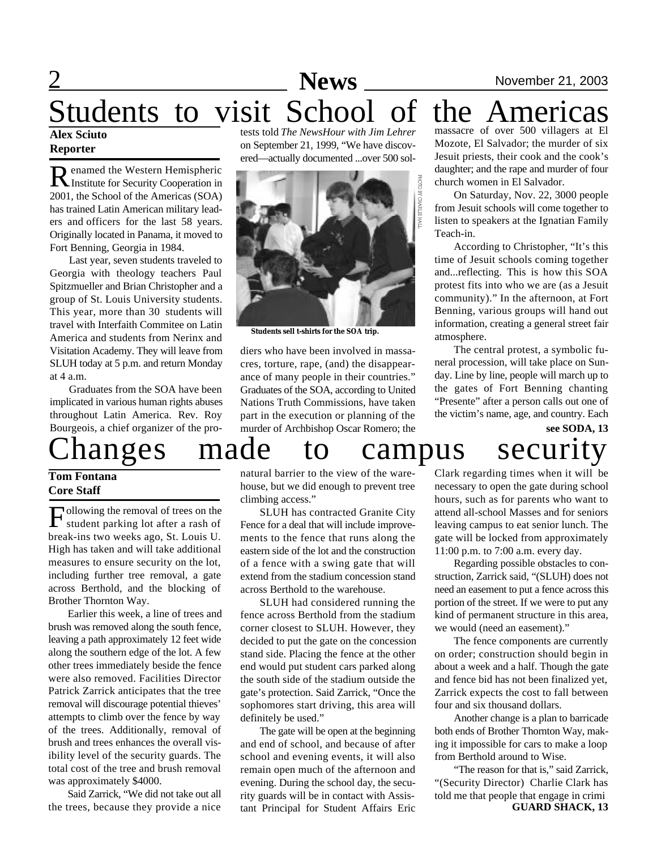### **News** News November 21, 2003 Students to visit School of the Americas **Alex Sciuto** tests told *The NewsHour with Jim Lehrer* massacre of over 500 villagers at El

### **Reporter**

Renamed the Western Hemispheric<br>
Institute for Security Cooperation in enamed the Western Hemispheric 2001, the School of the Americas (SOA) has trained Latin American military leaders and officers for the last 58 years. Originally located in Panama, it moved to Fort Benning, Georgia in 1984.

Last year, seven students traveled to Georgia with theology teachers Paul Spitzmueller and Brian Christopher and a group of St. Louis University students. This year, more than 30 students will travel with Interfaith Commitee on Latin America and students from Nerinx and Visitation Academy. They will leave from SLUH today at 5 p.m. and return Monday at 4 a.m.

Graduates from the SOA have been implicated in various human rights abuses throughout Latin America. Rev. Roy Bourgeois, a chief organizer of the pro-

# hanges made to campus security

#### **Tom Fontana Core Staff**

Following the removal of trees on the<br>student parking lot after a rash of ollowing the removal of trees on the break-ins two weeks ago, St. Louis U. High has taken and will take additional measures to ensure security on the lot, including further tree removal, a gate across Berthold, and the blocking of Brother Thornton Way.

Earlier this week, a line of trees and brush was removed along the south fence, leaving a path approximately 12 feet wide along the southern edge of the lot. A few other trees immediately beside the fence were also removed. Facilities Director Patrick Zarrick anticipates that the tree removal will discourage potential thieves' attempts to climb over the fence by way of the trees. Additionally, removal of brush and trees enhances the overall visibility level of the security guards. The total cost of the tree and brush removal was approximately \$4000.

Said Zarrick, "We did not take out all the trees, because they provide a nice

on September 21, 1999, "We have discovered—actually documented ...over 500 sol-



**Students sell t-shirts for the SOA trip.**

diers who have been involved in massacres, torture, rape, (and) the disappearance of many people in their countries." Graduates of the SOA, according to United Nations Truth Commissions, have taken part in the execution or planning of the murder of Archbishop Oscar Romero; the

Mozote, El Salvador; the murder of six Jesuit priests, their cook and the cook's daughter; and the rape and murder of four church women in El Salvador.

On Saturday, Nov. 22, 3000 people from Jesuit schools will come together to listen to speakers at the Ignatian Family Teach-in.

According to Christopher, "It's this time of Jesuit schools coming together and...reflecting. This is how this SOA protest fits into who we are (as a Jesuit community)." In the afternoon, at Fort Benning, various groups will hand out information, creating a general street fair atmosphere.

The central protest, a symbolic funeral procession, will take place on Sunday. Line by line, people will march up to the gates of Fort Benning chanting "Presente" after a person calls out one of the victim's name, age, and country. Each

# **see SODA, 13**

natural barrier to the view of the warehouse, but we did enough to prevent tree climbing access."

SLUH has contracted Granite City Fence for a deal that will include improvements to the fence that runs along the eastern side of the lot and the construction of a fence with a swing gate that will extend from the stadium concession stand across Berthold to the warehouse.

SLUH had considered running the fence across Berthold from the stadium corner closest to SLUH. However, they decided to put the gate on the concession stand side. Placing the fence at the other end would put student cars parked along the south side of the stadium outside the gate's protection. Said Zarrick, "Once the sophomores start driving, this area will definitely be used."

The gate will be open at the beginning and end of school, and because of after school and evening events, it will also remain open much of the afternoon and evening. During the school day, the security guards will be in contact with Assistant Principal for Student Affairs Eric

Clark regarding times when it will be necessary to open the gate during school hours, such as for parents who want to attend all-school Masses and for seniors leaving campus to eat senior lunch. The gate will be locked from approximately 11:00 p.m. to 7:00 a.m. every day.

Regarding possible obstacles to construction, Zarrick said, "(SLUH) does not need an easement to put a fence across this portion of the street. If we were to put any kind of permanent structure in this area, we would (need an easement)."

The fence components are currently on order; construction should begin in about a week and a half. Though the gate and fence bid has not been finalized yet, Zarrick expects the cost to fall between four and six thousand dollars.

Another change is a plan to barricade both ends of Brother Thornton Way, making it impossible for cars to make a loop from Berthold around to Wise.

**GUARD SHACK, 13** "The reason for that is," said Zarrick, "(Security Director) Charlie Clark has told me that people that engage in crimi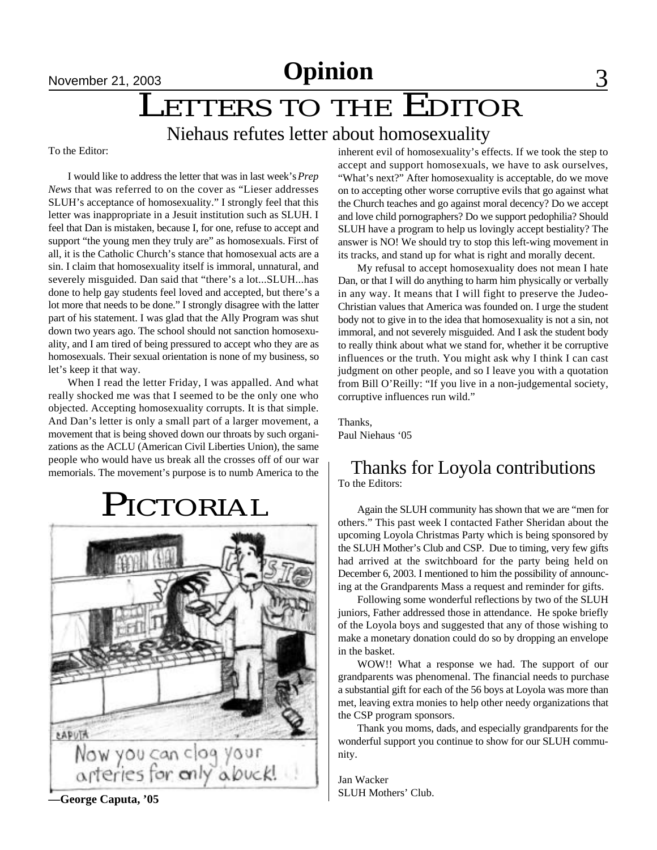# November 21, 2003<br> **LETTERS TO THE EDITOR**

### Niehaus refutes letter about homosexuality

To the Editor:

I would like to address the letter that was in last week's *Prep News* that was referred to on the cover as "Lieser addresses SLUH's acceptance of homosexuality." I strongly feel that this letter was inappropriate in a Jesuit institution such as SLUH. I feel that Dan is mistaken, because I, for one, refuse to accept and support "the young men they truly are" as homosexuals. First of all, it is the Catholic Church's stance that homosexual acts are a sin. I claim that homosexuality itself is immoral, unnatural, and severely misguided. Dan said that "there's a lot...SLUH...has done to help gay students feel loved and accepted, but there's a lot more that needs to be done." I strongly disagree with the latter part of his statement. I was glad that the Ally Program was shut down two years ago. The school should not sanction homosexuality, and I am tired of being pressured to accept who they are as homosexuals. Their sexual orientation is none of my business, so let's keep it that way.

When I read the letter Friday, I was appalled. And what really shocked me was that I seemed to be the only one who objected. Accepting homosexuality corrupts. It is that simple. And Dan's letter is only a small part of a larger movement, a movement that is being shoved down our throats by such organizations as the ACLU (American Civil Liberties Union), the same people who would have us break all the crosses off of our war memorials. The movement's purpose is to numb America to the

# PICTORIAL



inherent evil of homosexuality's effects. If we took the step to accept and support homosexuals, we have to ask ourselves, "What's next?" After homosexuality is acceptable, do we move on to accepting other worse corruptive evils that go against what the Church teaches and go against moral decency? Do we accept and love child pornographers? Do we support pedophilia? Should SLUH have a program to help us lovingly accept bestiality? The answer is NO! We should try to stop this left-wing movement in its tracks, and stand up for what is right and morally decent.

My refusal to accept homosexuality does not mean I hate Dan, or that I will do anything to harm him physically or verbally in any way. It means that I will fight to preserve the Judeo-Christian values that America was founded on. I urge the student body not to give in to the idea that homosexuality is not a sin, not immoral, and not severely misguided. And I ask the student body to really think about what we stand for, whether it be corruptive influences or the truth. You might ask why I think I can cast judgment on other people, and so I leave you with a quotation from Bill O'Reilly: "If you live in a non-judgemental society, corruptive influences run wild."

Thanks, Paul Niehaus '05

### Thanks for Loyola contributions To the Editors:

Again the SLUH community has shown that we are "men for others." This past week I contacted Father Sheridan about the upcoming Loyola Christmas Party which is being sponsored by the SLUH Mother's Club and CSP. Due to timing, very few gifts had arrived at the switchboard for the party being held on December 6, 2003. I mentioned to him the possibility of announcing at the Grandparents Mass a request and reminder for gifts.

Following some wonderful reflections by two of the SLUH juniors, Father addressed those in attendance. He spoke briefly of the Loyola boys and suggested that any of those wishing to make a monetary donation could do so by dropping an envelope in the basket.

WOW!! What a response we had. The support of our grandparents was phenomenal. The financial needs to purchase a substantial gift for each of the 56 boys at Loyola was more than met, leaving extra monies to help other needy organizations that the CSP program sponsors.

Thank you moms, dads, and especially grandparents for the wonderful support you continue to show for our SLUH community.

Jan Wacker SLUH Mothers' Club.

**—George Caputa, '05**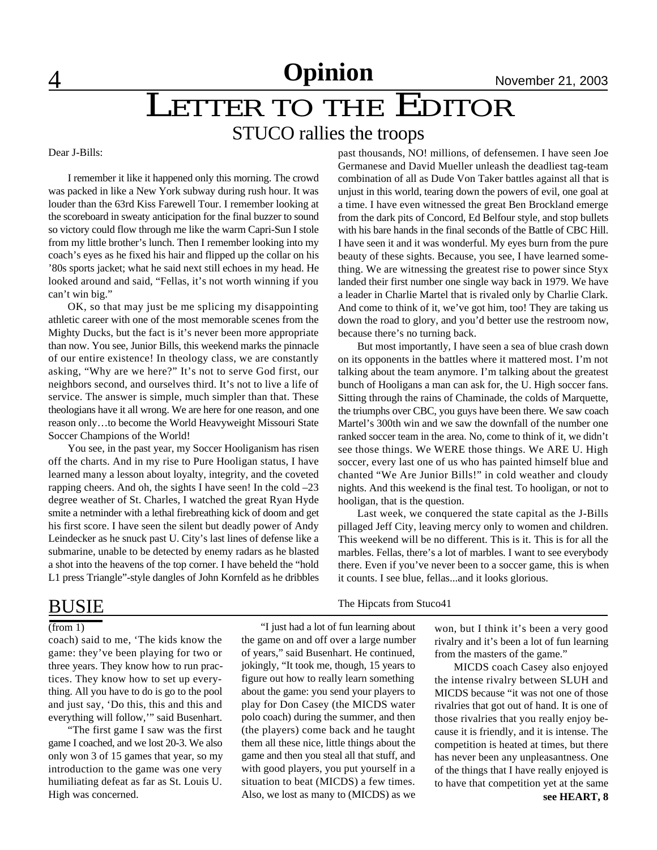4 **News** November 21, 2003 **Opinion**

# **LETTER TO THE EDITOR**

### STUCO rallies the troops

#### Dear J-Bills:

I remember it like it happened only this morning. The crowd was packed in like a New York subway during rush hour. It was louder than the 63rd Kiss Farewell Tour. I remember looking at the scoreboard in sweaty anticipation for the final buzzer to sound so victory could flow through me like the warm Capri-Sun I stole from my little brother's lunch. Then I remember looking into my coach's eyes as he fixed his hair and flipped up the collar on his '80s sports jacket; what he said next still echoes in my head. He looked around and said, "Fellas, it's not worth winning if you can't win big."

OK, so that may just be me splicing my disappointing athletic career with one of the most memorable scenes from the Mighty Ducks, but the fact is it's never been more appropriate than now. You see, Junior Bills, this weekend marks the pinnacle of our entire existence! In theology class, we are constantly asking, "Why are we here?" It's not to serve God first, our neighbors second, and ourselves third. It's not to live a life of service. The answer is simple, much simpler than that. These theologians have it all wrong. We are here for one reason, and one reason only…to become the World Heavyweight Missouri State Soccer Champions of the World!

You see, in the past year, my Soccer Hooliganism has risen off the charts. And in my rise to Pure Hooligan status, I have learned many a lesson about loyalty, integrity, and the coveted rapping cheers. And oh, the sights I have seen! In the cold –23 degree weather of St. Charles, I watched the great Ryan Hyde smite a netminder with a lethal firebreathing kick of doom and get his first score. I have seen the silent but deadly power of Andy Leindecker as he snuck past U. City's last lines of defense like a submarine, unable to be detected by enemy radars as he blasted a shot into the heavens of the top corner. I have beheld the "hold L1 press Triangle"-style dangles of John Kornfeld as he dribbles past thousands, NO! millions, of defensemen. I have seen Joe Germanese and David Mueller unleash the deadliest tag-team combination of all as Dude Von Taker battles against all that is unjust in this world, tearing down the powers of evil, one goal at a time. I have even witnessed the great Ben Brockland emerge from the dark pits of Concord, Ed Belfour style, and stop bullets with his bare hands in the final seconds of the Battle of CBC Hill. I have seen it and it was wonderful. My eyes burn from the pure beauty of these sights. Because, you see, I have learned something. We are witnessing the greatest rise to power since Styx landed their first number one single way back in 1979. We have a leader in Charlie Martel that is rivaled only by Charlie Clark. And come to think of it, we've got him, too! They are taking us down the road to glory, and you'd better use the restroom now, because there's no turning back.

But most importantly, I have seen a sea of blue crash down on its opponents in the battles where it mattered most. I'm not talking about the team anymore. I'm talking about the greatest bunch of Hooligans a man can ask for, the U. High soccer fans. Sitting through the rains of Chaminade, the colds of Marquette, the triumphs over CBC, you guys have been there. We saw coach Martel's 300th win and we saw the downfall of the number one ranked soccer team in the area. No, come to think of it, we didn't see those things. We WERE those things. We ARE U. High soccer, every last one of us who has painted himself blue and chanted "We Are Junior Bills!" in cold weather and cloudy nights. And this weekend is the final test. To hooligan, or not to hooligan, that is the question.

Last week, we conquered the state capital as the J-Bills pillaged Jeff City, leaving mercy only to women and children. This weekend will be no different. This is it. This is for all the marbles. Fellas, there's a lot of marbles. I want to see everybody there. Even if you've never been to a soccer game, this is when it counts. I see blue, fellas...and it looks glorious.

### BUSIE

#### $(from 1)$

coach) said to me, 'The kids know the game: they've been playing for two or three years. They know how to run practices. They know how to set up everything. All you have to do is go to the pool and just say, 'Do this, this and this and everything will follow,'" said Busenhart.

"The first game I saw was the first game I coached, and we lost 20-3. We also only won 3 of 15 games that year, so my introduction to the game was one very humiliating defeat as far as St. Louis U. High was concerned.

The Hipcats from Stuco41

"I just had a lot of fun learning about the game on and off over a large number of years," said Busenhart. He continued, jokingly, "It took me, though, 15 years to figure out how to really learn something about the game: you send your players to play for Don Casey (the MICDS water polo coach) during the summer, and then (the players) come back and he taught them all these nice, little things about the game and then you steal all that stuff, and with good players, you put yourself in a situation to beat (MICDS) a few times. Also, we lost as many to (MICDS) as we

won, but I think it's been a very good rivalry and it's been a lot of fun learning from the masters of the game."

MICDS coach Casey also enjoyed the intense rivalry between SLUH and MICDS because "it was not one of those rivalries that got out of hand. It is one of those rivalries that you really enjoy because it is friendly, and it is intense. The competition is heated at times, but there has never been any unpleasantness. One of the things that I have really enjoyed is to have that competition yet at the same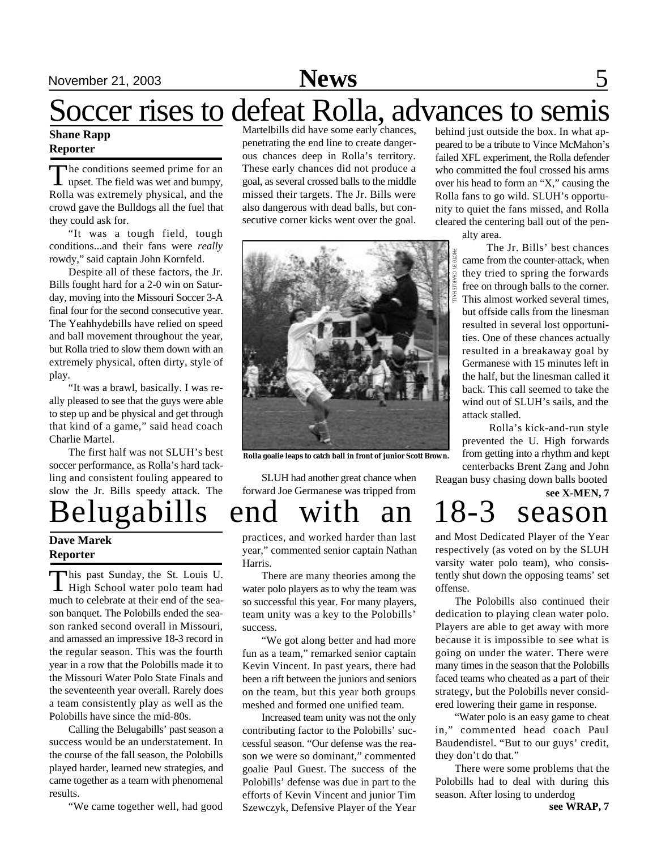## November 21, 2003 **News** 5

# Soccer rises to defeat Rolla, advances to semis

#### **Shane Rapp Reporter**

The conditions seemed prime for an upset. The field was wet and bumpy, he conditions seemed prime for an Rolla was extremely physical, and the crowd gave the Bulldogs all the fuel that they could ask for.

"It was a tough field, tough conditions...and their fans were *really* rowdy," said captain John Kornfeld.

Despite all of these factors, the Jr. Bills fought hard for a 2-0 win on Saturday, moving into the Missouri Soccer 3-A final four for the second consecutive year. The Yeahhydebills have relied on speed and ball movement throughout the year, but Rolla tried to slow them down with an extremely physical, often dirty, style of play.

"It was a brawl, basically. I was really pleased to see that the guys were able to step up and be physical and get through that kind of a game," said head coach Charlie Martel.

The first half was not SLUH's best soccer performance, as Rolla's hard tackling and consistent fouling appeared to slow the Jr. Bills speedy attack. The

Belugabills end with an 18-3 season

#### **Dave Marek Reporter**

This past Sunday, the St. Louis U.<br>High School water polo team had his past Sunday, the St. Louis U. much to celebrate at their end of the season banquet. The Polobills ended the season ranked second overall in Missouri, and amassed an impressive 18-3 record in the regular season. This was the fourth year in a row that the Polobills made it to the Missouri Water Polo State Finals and the seventeenth year overall. Rarely does a team consistently play as well as the Polobills have since the mid-80s.

Calling the Belugabills' past season a success would be an understatement. In the course of the fall season, the Polobills played harder, learned new strategies, and came together as a team with phenomenal results.

"We came together well, had good

Martelbills did have some early chances, penetrating the end line to create dangerous chances deep in Rolla's territory. These early chances did not produce a goal, as several crossed balls to the middle missed their targets. The Jr. Bills were also dangerous with dead balls, but consecutive corner kicks went over the goal.



**Rolla goalie leaps to catch ball in front of junior Scott Brown.**

SLUH had another great chance when forward Joe Germanese was tripped from

practices, and worked harder than last year," commented senior captain Nathan Harris.

There are many theories among the water polo players as to why the team was so successful this year. For many players, team unity was a key to the Polobills' success.

"We got along better and had more fun as a team," remarked senior captain Kevin Vincent. In past years, there had been a rift between the juniors and seniors on the team, but this year both groups meshed and formed one unified team.

Increased team unity was not the only contributing factor to the Polobills' successful season. "Our defense was the reason we were so dominant," commented goalie Paul Guest. The success of the Polobills' defense was due in part to the efforts of Kevin Vincent and junior Tim Szewczyk, Defensive Player of the Year

behind just outside the box. In what appeared to be a tribute to Vince McMahon's failed XFL experiment, the Rolla defender who committed the foul crossed his arms over his head to form an "X," causing the Rolla fans to go wild. SLUH's opportunity to quiet the fans missed, and Rolla cleared the centering ball out of the pen-

alty area.

 The Jr. Bills' best chances came from the counter-attack, when they tried to spring the forwards free on through balls to the corner. This almost worked several times, but offside calls from the linesman resulted in several lost opportunities. One of these chances actually resulted in a breakaway goal by Germanese with 15 minutes left in the half, but the linesman called it back. This call seemed to take the wind out of SLUH's sails, and the attack stalled.

 Rolla's kick-and-run style prevented the U. High forwards from getting into a rhythm and kept centerbacks Brent Zang and John

Reagan busy chasing down balls booted

# **see X-MEN, 7**

and Most Dedicated Player of the Year respectively (as voted on by the SLUH varsity water polo team), who consistently shut down the opposing teams' set offense.

The Polobills also continued their dedication to playing clean water polo. Players are able to get away with more because it is impossible to see what is going on under the water. There were many times in the season that the Polobills faced teams who cheated as a part of their strategy, but the Polobills never considered lowering their game in response.

"Water polo is an easy game to cheat in," commented head coach Paul Baudendistel. "But to our guys' credit, they don't do that."

There were some problems that the Polobills had to deal with during this season. After losing to underdog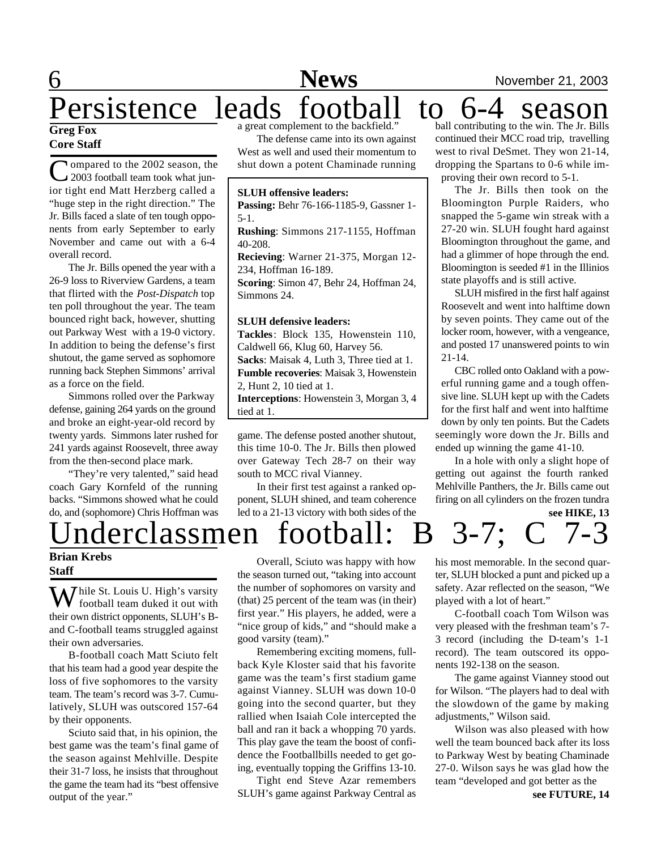# Persistence leads football to 6-4 season

#### **Greg Fox Core Staff**

Compared to the 2002 season, the 2003 football team took what jun-**I**ompared to the 2002 season, the ior tight end Matt Herzberg called a "huge step in the right direction." The Jr. Bills faced a slate of ten tough opponents from early September to early November and came out with a 6-4 overall record.

The Jr. Bills opened the year with a 26-9 loss to Riverview Gardens, a team that flirted with the *Post-Dispatch* top ten poll throughout the year. The team bounced right back, however, shutting out Parkway West with a 19-0 victory. In addition to being the defense's first shutout, the game served as sophomore running back Stephen Simmons' arrival as a force on the field.

Simmons rolled over the Parkway defense, gaining 264 yards on the ground and broke an eight-year-old record by twenty yards. Simmons later rushed for 241 yards against Roosevelt, three away from the then-second place mark.

"They're very talented," said head coach Gary Kornfeld of the running backs. "Simmons showed what he could do, and (sophomore) Chris Hoffman was a great complement to the backfield."

The defense came into its own against West as well and used their momentum to shut down a potent Chaminade running

#### **SLUH offensive leaders:**

**Passing:** Behr 76-166-1185-9, Gassner 1- 5-1.

**Rushing**: Simmons 217-1155, Hoffman 40-208.

**Recieving**: Warner 21-375, Morgan 12- 234, Hoffman 16-189.

**Scoring**: Simon 47, Behr 24, Hoffman 24, Simmons 24.

#### **SLUH defensive leaders:**

**Tackles**: Block 135, Howenstein 110, Caldwell 66, Klug 60, Harvey 56. **Sacks**: Maisak 4, Luth 3, Three tied at 1. **Fumble recoveries**: Maisak 3, Howenstein 2, Hunt 2, 10 tied at 1. **Interceptions**: Howenstein 3, Morgan 3, 4 tied at 1.

game. The defense posted another shutout, this time 10-0. The Jr. Bills then plowed over Gateway Tech 28-7 on their way south to MCC rival Vianney.

In their first test against a ranked opponent, SLUH shined, and team coherence led to a 21-13 victory with both sides of the

ball contributing to the win. The Jr. Bills continued their MCC road trip, travelling west to rival DeSmet. They won 21-14, dropping the Spartans to 0-6 while improving their own record to 5-1.

The Jr. Bills then took on the Bloomington Purple Raiders, who snapped the 5-game win streak with a 27-20 win. SLUH fought hard against Bloomington throughout the game, and had a glimmer of hope through the end. Bloomington is seeded #1 in the Illinios state playoffs and is still active.

SLUH misfired in the first half against Roosevelt and went into halftime down by seven points. They came out of the locker room, however, with a vengeance, and posted 17 unanswered points to win 21-14.

CBC rolled onto Oakland with a powerful running game and a tough offensive line. SLUH kept up with the Cadets for the first half and went into halftime down by only ten points. But the Cadets seemingly wore down the Jr. Bills and ended up winning the game 41-10.

**see HIKE, 13** In a hole with only a slight hope of getting out against the fourth ranked Mehlville Panthers, the Jr. Bills came out firing on all cylinders on the frozen tundra

Underclassmen football: B 3-7; C 7-3

#### **Brian Krebs Staff**

While St. Louis U. High's varsity<br>football team duked it out with their own district opponents, SLUH's Band C-football teams struggled against their own adversaries.

B-football coach Matt Sciuto felt that his team had a good year despite the loss of five sophomores to the varsity team. The team's record was 3-7. Cumulatively, SLUH was outscored 157-64 by their opponents.

Sciuto said that, in his opinion, the best game was the team's final game of the season against Mehlville. Despite their 31-7 loss, he insists that throughout the game the team had its "best offensive output of the year."

Overall, Sciuto was happy with how the season turned out, "taking into account the number of sophomores on varsity and (that) 25 percent of the team was (in their) first year." His players, he added, were a "nice group of kids," and "should make a good varsity (team)."

Remembering exciting momens, fullback Kyle Kloster said that his favorite game was the team's first stadium game against Vianney. SLUH was down 10-0 going into the second quarter, but they rallied when Isaiah Cole intercepted the ball and ran it back a whopping 70 yards. This play gave the team the boost of confidence the Footballbills needed to get going, eventually topping the Griffins 13-10.

Tight end Steve Azar remembers SLUH's game against Parkway Central as

his most memorable. In the second quarter, SLUH blocked a punt and picked up a safety. Azar reflected on the season, "We played with a lot of heart."

C-football coach Tom Wilson was very pleased with the freshman team's 7- 3 record (including the D-team's 1-1 record). The team outscored its opponents 192-138 on the season.

The game against Vianney stood out for Wilson. "The players had to deal with the slowdown of the game by making adjustments," Wilson said.

Wilson was also pleased with how well the team bounced back after its loss to Parkway West by beating Chaminade 27-0. Wilson says he was glad how the team "developed and got better as the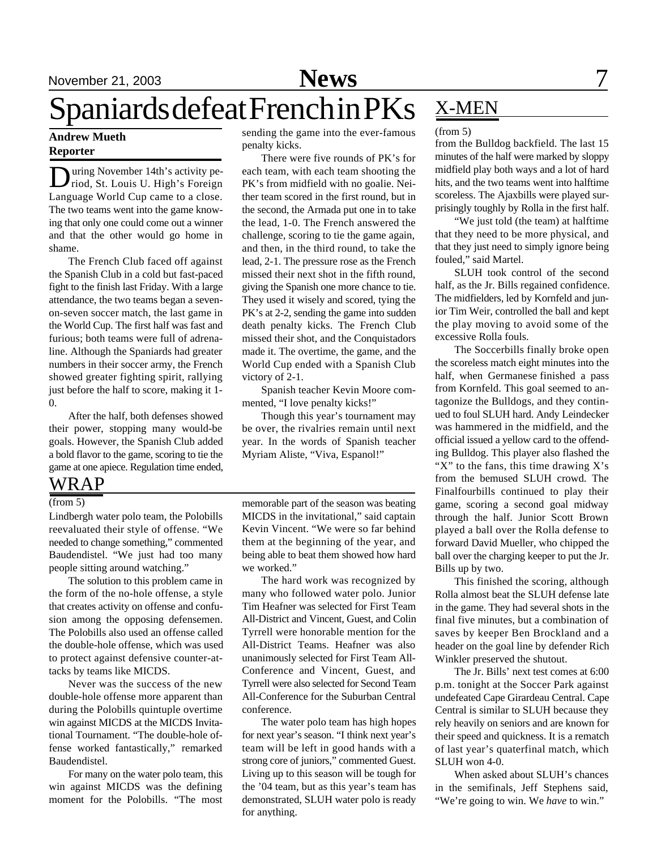## November 21, 2003 **News** 7 Spaniards defeat French in PKs X-MEN

#### **Andrew Mueth Reporter**

During November 14th's activity period, St. Louis U. High's Foreign uring November 14th's activity pe-Language World Cup came to a close. The two teams went into the game knowing that only one could come out a winner and that the other would go home in shame.

The French Club faced off against the Spanish Club in a cold but fast-paced fight to the finish last Friday. With a large attendance, the two teams began a sevenon-seven soccer match, the last game in the World Cup. The first half was fast and furious; both teams were full of adrenaline. Although the Spaniards had greater numbers in their soccer army, the French showed greater fighting spirit, rallying just before the half to score, making it 1- 0.

After the half, both defenses showed their power, stopping many would-be goals. However, the Spanish Club added a bold flavor to the game, scoring to tie the game at one apiece. Regulation time ended,

### WRAP

#### (from 5)

Lindbergh water polo team, the Polobills reevaluated their style of offense. "We needed to change something," commented Baudendistel. "We just had too many people sitting around watching."

The solution to this problem came in the form of the no-hole offense, a style that creates activity on offense and confusion among the opposing defensemen. The Polobills also used an offense called the double-hole offense, which was used to protect against defensive counter-attacks by teams like MICDS.

Never was the success of the new double-hole offense more apparent than during the Polobills quintuple overtime win against MICDS at the MICDS Invitational Tournament. "The double-hole offense worked fantastically," remarked Baudendistel.

For many on the water polo team, this win against MICDS was the defining moment for the Polobills. "The most

sending the game into the ever-famous penalty kicks.

There were five rounds of PK's for each team, with each team shooting the PK's from midfield with no goalie. Neither team scored in the first round, but in the second, the Armada put one in to take the lead, 1-0. The French answered the challenge, scoring to tie the game again, and then, in the third round, to take the lead, 2-1. The pressure rose as the French missed their next shot in the fifth round, giving the Spanish one more chance to tie. They used it wisely and scored, tying the PK's at 2-2, sending the game into sudden death penalty kicks. The French Club missed their shot, and the Conquistadors made it. The overtime, the game, and the World Cup ended with a Spanish Club victory of 2-1.

Spanish teacher Kevin Moore commented, "I love penalty kicks!"

Though this year's tournament may be over, the rivalries remain until next year. In the words of Spanish teacher Myriam Aliste, "Viva, Espanol!"

memorable part of the season was beating MICDS in the invitational," said captain Kevin Vincent. "We were so far behind them at the beginning of the year, and being able to beat them showed how hard we worked."

The hard work was recognized by many who followed water polo. Junior Tim Heafner was selected for First Team All-District and Vincent, Guest, and Colin Tyrrell were honorable mention for the All-District Teams. Heafner was also unanimously selected for First Team All-Conference and Vincent, Guest, and Tyrrell were also selected for Second Team All-Conference for the Suburban Central conference.

The water polo team has high hopes for next year's season. "I think next year's team will be left in good hands with a strong core of juniors," commented Guest. Living up to this season will be tough for the '04 team, but as this year's team has demonstrated, SLUH water polo is ready for anything.

#### (from 5)

from the Bulldog backfield. The last 15 minutes of the half were marked by sloppy midfield play both ways and a lot of hard hits, and the two teams went into halftime scoreless. The Ajaxbills were played surprisingly toughly by Rolla in the first half.

"We just told (the team) at halftime that they need to be more physical, and that they just need to simply ignore being fouled," said Martel.

SLUH took control of the second half, as the Jr. Bills regained confidence. The midfielders, led by Kornfeld and junior Tim Weir, controlled the ball and kept the play moving to avoid some of the excessive Rolla fouls.

The Soccerbills finally broke open the scoreless match eight minutes into the half, when Germanese finished a pass from Kornfeld. This goal seemed to antagonize the Bulldogs, and they continued to foul SLUH hard. Andy Leindecker was hammered in the midfield, and the official issued a yellow card to the offending Bulldog. This player also flashed the "X" to the fans, this time drawing  $X$ 's from the bemused SLUH crowd. The Finalfourbills continued to play their game, scoring a second goal midway through the half. Junior Scott Brown played a ball over the Rolla defense to forward David Mueller, who chipped the ball over the charging keeper to put the Jr. Bills up by two.

This finished the scoring, although Rolla almost beat the SLUH defense late in the game. They had several shots in the final five minutes, but a combination of saves by keeper Ben Brockland and a header on the goal line by defender Rich Winkler preserved the shutout.

The Jr. Bills' next test comes at 6:00 p.m. tonight at the Soccer Park against undefeated Cape Girardeau Central. Cape Central is similar to SLUH because they rely heavily on seniors and are known for their speed and quickness. It is a rematch of last year's quaterfinal match, which SLUH won 4-0.

When asked about SLUH's chances in the semifinals, Jeff Stephens said, "We're going to win. We *have* to win."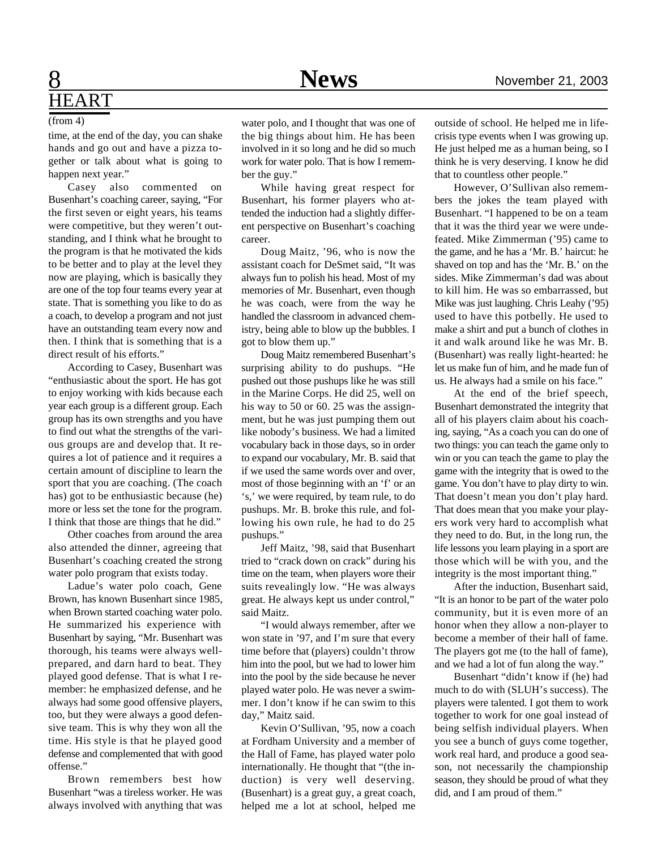## **8** News News November 21, 2003 HEART

(from 4)

time, at the end of the day, you can shake hands and go out and have a pizza together or talk about what is going to happen next year."

Casey also commented on Busenhart's coaching career, saying, "For the first seven or eight years, his teams were competitive, but they weren't outstanding, and I think what he brought to the program is that he motivated the kids to be better and to play at the level they now are playing, which is basically they are one of the top four teams every year at state. That is something you like to do as a coach, to develop a program and not just have an outstanding team every now and then. I think that is something that is a direct result of his efforts."

According to Casey, Busenhart was "enthusiastic about the sport. He has got to enjoy working with kids because each year each group is a different group. Each group has its own strengths and you have to find out what the strengths of the various groups are and develop that. It requires a lot of patience and it requires a certain amount of discipline to learn the sport that you are coaching. (The coach has) got to be enthusiastic because (he) more or less set the tone for the program. I think that those are things that he did."

Other coaches from around the area also attended the dinner, agreeing that Busenhart's coaching created the strong water polo program that exists today.

Ladue's water polo coach, Gene Brown, has known Busenhart since 1985, when Brown started coaching water polo. He summarized his experience with Busenhart by saying, "Mr. Busenhart was thorough, his teams were always wellprepared, and darn hard to beat. They played good defense. That is what I remember: he emphasized defense, and he always had some good offensive players, too, but they were always a good defensive team. This is why they won all the time. His style is that he played good defense and complemented that with good offense."

Brown remembers best how Busenhart "was a tireless worker. He was always involved with anything that was water polo, and I thought that was one of the big things about him. He has been involved in it so long and he did so much work for water polo. That is how I remember the guy."

While having great respect for Busenhart, his former players who attended the induction had a slightly different perspective on Busenhart's coaching career.

Doug Maitz, '96, who is now the assistant coach for DeSmet said, "It was always fun to polish his head. Most of my memories of Mr. Busenhart, even though he was coach, were from the way he handled the classroom in advanced chemistry, being able to blow up the bubbles. I got to blow them up."

Doug Maitz remembered Busenhart's surprising ability to do pushups. "He pushed out those pushups like he was still in the Marine Corps. He did 25, well on his way to 50 or 60. 25 was the assignment, but he was just pumping them out like nobody's business. We had a limited vocabulary back in those days, so in order to expand our vocabulary, Mr. B. said that if we used the same words over and over, most of those beginning with an 'f' or an 's,' we were required, by team rule, to do pushups. Mr. B. broke this rule, and following his own rule, he had to do 25 pushups."

Jeff Maitz, '98, said that Busenhart tried to "crack down on crack" during his time on the team, when players wore their suits revealingly low. "He was always great. He always kept us under control," said Maitz.

"I would always remember, after we won state in '97, and I'm sure that every time before that (players) couldn't throw him into the pool, but we had to lower him into the pool by the side because he never played water polo. He was never a swimmer. I don't know if he can swim to this day," Maitz said.

Kevin O'Sullivan, '95, now a coach at Fordham University and a member of the Hall of Fame, has played water polo internationally. He thought that "(the induction) is very well deserving. (Busenhart) is a great guy, a great coach, helped me a lot at school, helped me

outside of school. He helped me in lifecrisis type events when I was growing up. He just helped me as a human being, so I think he is very deserving. I know he did that to countless other people."

However, O'Sullivan also remembers the jokes the team played with Busenhart. "I happened to be on a team that it was the third year we were undefeated. Mike Zimmerman ('95) came to the game, and he has a 'Mr. B.' haircut: he shaved on top and has the 'Mr. B.' on the sides. Mike Zimmerman's dad was about to kill him. He was so embarrassed, but Mike was just laughing. Chris Leahy ('95) used to have this potbelly. He used to make a shirt and put a bunch of clothes in it and walk around like he was Mr. B. (Busenhart) was really light-hearted: he let us make fun of him, and he made fun of us. He always had a smile on his face."

At the end of the brief speech, Busenhart demonstrated the integrity that all of his players claim about his coaching, saying, "As a coach you can do one of two things: you can teach the game only to win or you can teach the game to play the game with the integrity that is owed to the game. You don't have to play dirty to win. That doesn't mean you don't play hard. That does mean that you make your players work very hard to accomplish what they need to do. But, in the long run, the life lessons you learn playing in a sport are those which will be with you, and the integrity is the most important thing."

After the induction, Busenhart said, "It is an honor to be part of the water polo community, but it is even more of an honor when they allow a non-player to become a member of their hall of fame. The players got me (to the hall of fame), and we had a lot of fun along the way."

Busenhart "didn't know if (he) had much to do with (SLUH's success). The players were talented. I got them to work together to work for one goal instead of being selfish individual players. When you see a bunch of guys come together, work real hard, and produce a good season, not necessarily the championship season, they should be proud of what they did, and I am proud of them."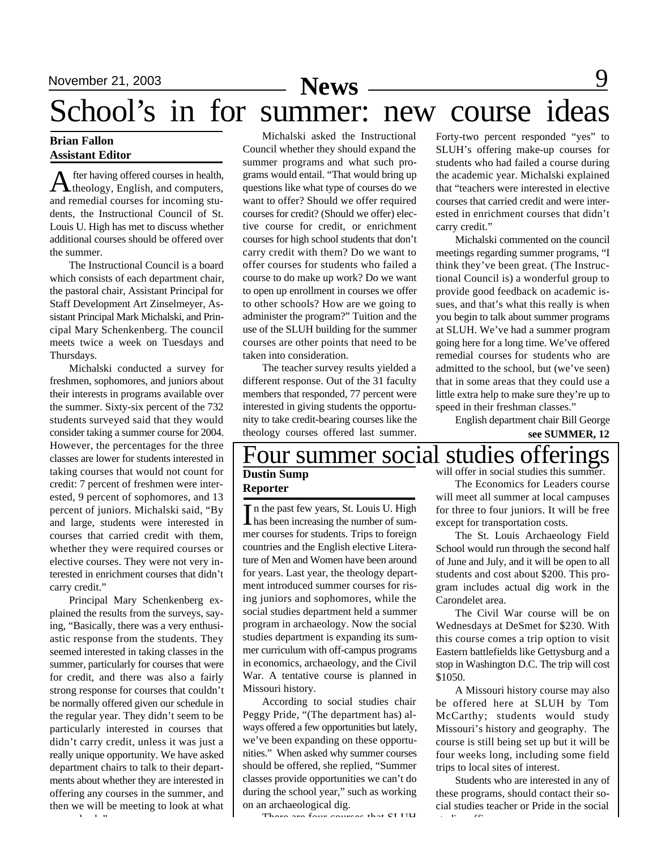### **News**

# School's in for summer: new course ideas

#### **Brian Fallon Assistant Editor**

A fter having offered courses in health,<br>theology, English, and computers, fter having offered courses in health, and remedial courses for incoming students, the Instructional Council of St. Louis U. High has met to discuss whether additional courses should be offered over the summer.

The Instructional Council is a board which consists of each department chair, the pastoral chair, Assistant Principal for Staff Development Art Zinselmeyer, Assistant Principal Mark Michalski, and Principal Mary Schenkenberg. The council meets twice a week on Tuesdays and Thursdays.

Michalski conducted a survey for freshmen, sophomores, and juniors about their interests in programs available over the summer. Sixty-six percent of the 732 students surveyed said that they would consider taking a summer course for 2004. However, the percentages for the three classes are lower for students interested in taking courses that would not count for credit: 7 percent of freshmen were interested, 9 percent of sophomores, and 13 percent of juniors. Michalski said, "By and large, students were interested in courses that carried credit with them, whether they were required courses or elective courses. They were not very interested in enrichment courses that didn't carry credit."

Principal Mary Schenkenberg explained the results from the surveys, saying, "Basically, there was a very enthusiastic response from the students. They seemed interested in taking classes in the summer, particularly for courses that were for credit, and there was also a fairly strong response for courses that couldn't be normally offered given our schedule in the regular year. They didn't seem to be particularly interested in courses that didn't carry credit, unless it was just a really unique opportunity. We have asked department chairs to talk to their departments about whether they are interested in offering any courses in the summer, and then we will be meeting to look at what comes back."

Michalski asked the Instructional Council whether they should expand the summer programs and what such programs would entail. "That would bring up questions like what type of courses do we want to offer? Should we offer required courses for credit? (Should we offer) elective course for credit, or enrichment courses for high school students that don't carry credit with them? Do we want to offer courses for students who failed a course to do make up work? Do we want to open up enrollment in courses we offer to other schools? How are we going to administer the program?" Tuition and the use of the SLUH building for the summer courses are other points that need to be taken into consideration.

The teacher survey results yielded a different response. Out of the 31 faculty members that responded, 77 percent were interested in giving students the opportunity to take credit-bearing courses like the theology courses offered last summer.

Forty-two percent responded "yes" to SLUH's offering make-up courses for students who had failed a course during the academic year. Michalski explained that "teachers were interested in elective courses that carried credit and were interested in enrichment courses that didn't carry credit."

Michalski commented on the council meetings regarding summer programs, "I think they've been great. (The Instructional Council is) a wonderful group to provide good feedback on academic issues, and that's what this really is when you begin to talk about summer programs at SLUH. We've had a summer program going here for a long time. We've offered remedial courses for students who are admitted to the school, but (we've seen) that in some areas that they could use a little extra help to make sure they're up to speed in their freshman classes."

English department chair Bill George **see SUMMER, 12**

#### Four summer social studies offerings **Dustin Sump** will offer in social studies this summer.

### **Reporter**

In the past few years, St. Louis U. High<br>has been increasing the number of sumn the past few years, St. Louis U. High mer courses for students. Trips to foreign countries and the English elective Literature of Men and Women have been around for years. Last year, the theology department introduced summer courses for rising juniors and sophomores, while the social studies department held a summer program in archaeology. Now the social studies department is expanding its summer curriculum with off-campus programs in economics, archaeology, and the Civil War. A tentative course is planned in Missouri history.

According to social studies chair Peggy Pride, "(The department has) always offered a few opportunities but lately, we've been expanding on these opportunities." When asked why summer courses should be offered, she replied, "Summer classes provide opportunities we can't do during the school year," such as working on an archaeological dig.

There are four courses that CLUH

The Economics for Leaders course will meet all summer at local campuses for three to four juniors. It will be free except for transportation costs.

The St. Louis Archaeology Field School would run through the second half of June and July, and it will be open to all students and cost about \$200. This program includes actual dig work in the Carondelet area.

The Civil War course will be on Wednesdays at DeSmet for \$230. With this course comes a trip option to visit Eastern battlefields like Gettysburg and a stop in Washington D.C. The trip will cost \$1050.

A Missouri history course may also be offered here at SLUH by Tom McCarthy; students would study Missouri's history and geography. The course is still being set up but it will be four weeks long, including some field trips to local sites of interest.

Students who are interested in any of these programs, should contact their social studies teacher or Pride in the social  $\mathbf{S} = \mathbf{S}$  of  $\mathbf{S} = \mathbf{S}$  of  $\mathbf{S} = \mathbf{S}$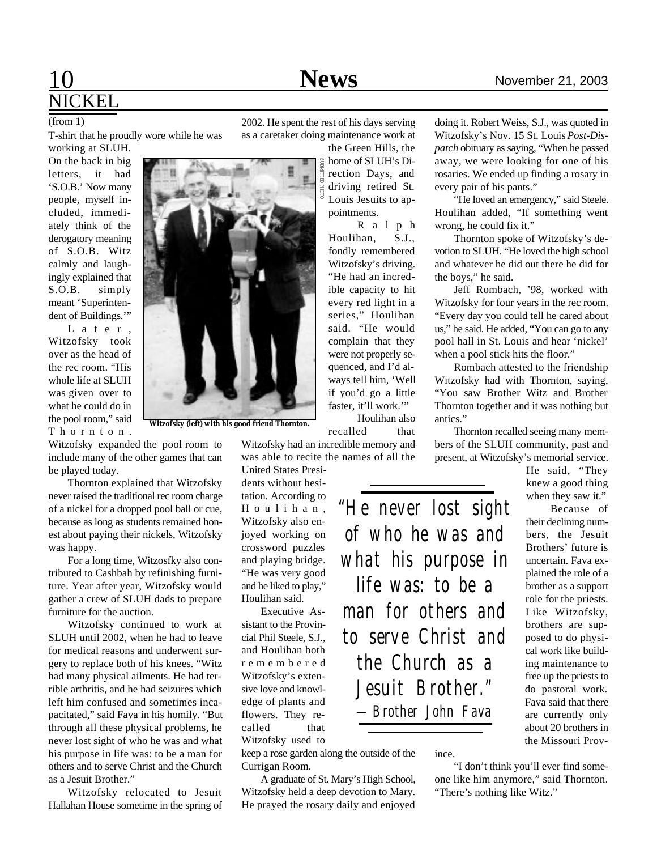## 10 **News** November 21, 2003 NICKEL

(from 1)

T-shirt that he proudly wore while he was

working at SLUH. On the back in big letters, it had 'S.O.B.' Now many people, myself included, immediately think of the derogatory meaning of S.O.B. Witz calmly and laughingly explained that S.O.B. simply meant 'Superintendent of Buildings.'"

L a t e r , Witzofsky took over as the head of the rec room. "His whole life at SLUH was given over to what he could do in the pool room," said T h o r n t o n .

**Witzofsky (left) with his good friend Thornton.**

Witzofsky expanded the pool room to include many of the other games that can be played today.

Thornton explained that Witzofsky never raised the traditional rec room charge of a nickel for a dropped pool ball or cue, because as long as students remained honest about paying their nickels, Witzofsky was happy.

For a long time, Witzosfky also contributed to Cashbah by refinishing furniture. Year after year, Witzofsky would gather a crew of SLUH dads to prepare furniture for the auction.

Witzofsky continued to work at SLUH until 2002, when he had to leave for medical reasons and underwent surgery to replace both of his knees. "Witz had many physical ailments. He had terrible arthritis, and he had seizures which left him confused and sometimes incapacitated," said Fava in his homily. "But through all these physical problems, he never lost sight of who he was and what his purpose in life was: to be a man for others and to serve Christ and the Church as a Jesuit Brother."

Witzofsky relocated to Jesuit Hallahan House sometime in the spring of 2002. He spent the rest of his days serving as a caretaker doing maintenance work at

> the Green Hills, the home of SLUH's Direction Days, and driving retired St. Louis Jesuits to appointments.

R a l p h Houlihan, S.J., fondly remembered Witzofsky's driving. "He had an incredible capacity to hit every red light in a series," Houlihan said. "He would complain that they were not properly sequenced, and I'd always tell him, 'Well if you'd go a little faster, it'll work.'"

Witzofsky had an incredible memory and was able to recite the names of all the

United States Presidents without hesitation. According to H o u l i h a n , Witzofsky also enjoyed working on crossword puzzles and playing bridge. "He was very good and he liked to play," Houlihan said.

Executive Assistant to the Provincial Phil Steele, S.J., and Houlihan both r e m e m b e r e d Witzofsky's extensive love and knowledge of plants and flowers. They recalled that Witzofsky used to

keep a rose garden along the outside of the Currigan Room.

A graduate of St. Mary's High School, Witzofsky held a deep devotion to Mary. He prayed the rosary daily and enjoyed

doing it. Robert Weiss, S.J., was quoted in Witzofsky's Nov. 15 St. Louis *Post-Dispatch* obituary as saying, "When he passed away, we were looking for one of his rosaries. We ended up finding a rosary in every pair of his pants."

"He loved an emergency," said Steele. Houlihan added, "If something went wrong, he could fix it."

Thornton spoke of Witzofsky's devotion to SLUH. "He loved the high school and whatever he did out there he did for the boys," he said.

Jeff Rombach, '98, worked with Witzofsky for four years in the rec room. "Every day you could tell he cared about us," he said. He added, "You can go to any pool hall in St. Louis and hear 'nickel' when a pool stick hits the floor."

Rombach attested to the friendship Witzofsky had with Thornton, saying, "You saw Brother Witz and Brother Thornton together and it was nothing but antics."

Thornton recalled seeing many members of the SLUH community, past and present, at Witzofsky's memorial service.

> He said, "They knew a good thing when they saw it."

Because of their declining numbers, the Jesuit Brothers' future is uncertain. Fava explained the role of a brother as a support role for the priests. Like Witzofsky, brothers are supposed to do physical work like building maintenance to free up the priests to do pastoral work. Fava said that there are currently only about 20 brothers in the Missouri Prov-

ince.

"I don't think you'll ever find someone like him anymore," said Thornton. "There's nothing like Witz."

*of who he was and what his purpose in life was: to be a man for others and to serve Christ and the Church as a Jesuit Brother."*

*—Brother John Fava*

*"He never lost sight*

Houlihan also recalled that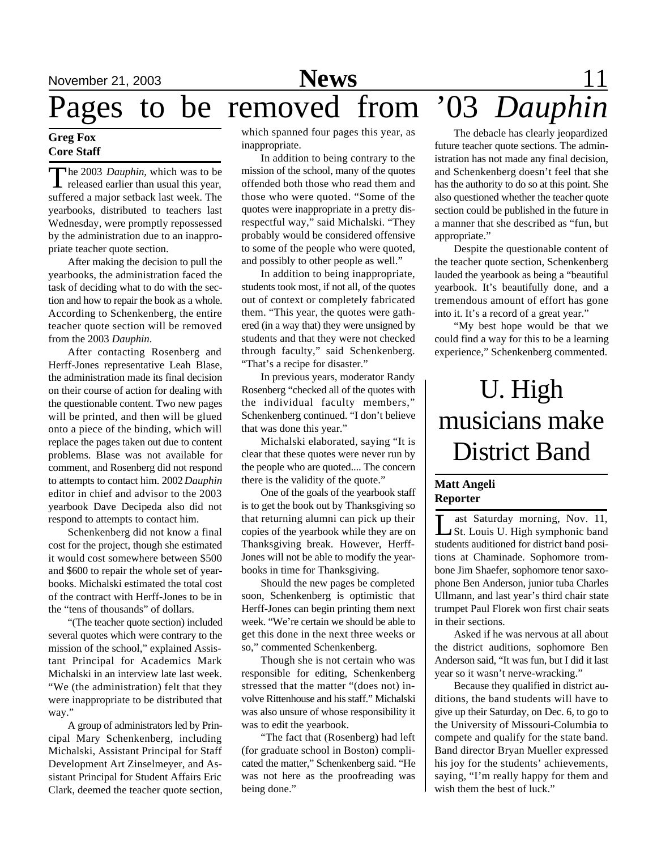# November 21, 2003 **News** 11

Pages to be removed from '03 *Dauphin*

#### **Greg Fox Core Staff**

The 2003 *Dauphin*, which was to be<br>released earlier than usual this year, he 2003 *Dauphin*, which was to be suffered a major setback last week. The yearbooks, distributed to teachers last Wednesday, were promptly repossessed by the administration due to an inappropriate teacher quote section.

After making the decision to pull the yearbooks, the administration faced the task of deciding what to do with the section and how to repair the book as a whole. According to Schenkenberg, the entire teacher quote section will be removed from the 2003 *Dauphin*.

After contacting Rosenberg and Herff-Jones representative Leah Blase, the administration made its final decision on their course of action for dealing with the questionable content. Two new pages will be printed, and then will be glued onto a piece of the binding, which will replace the pages taken out due to content problems. Blase was not available for comment, and Rosenberg did not respond to attempts to contact him. 2002 *Dauphin* editor in chief and advisor to the 2003 yearbook Dave Decipeda also did not respond to attempts to contact him.

Schenkenberg did not know a final cost for the project, though she estimated it would cost somewhere between \$500 and \$600 to repair the whole set of yearbooks. Michalski estimated the total cost of the contract with Herff-Jones to be in the "tens of thousands" of dollars.

"(The teacher quote section) included several quotes which were contrary to the mission of the school," explained Assistant Principal for Academics Mark Michalski in an interview late last week. "We (the administration) felt that they were inappropriate to be distributed that way."

A group of administrators led by Principal Mary Schenkenberg, including Michalski, Assistant Principal for Staff Development Art Zinselmeyer, and Assistant Principal for Student Affairs Eric Clark, deemed the teacher quote section,

which spanned four pages this year, as inappropriate.

In addition to being contrary to the mission of the school, many of the quotes offended both those who read them and those who were quoted. "Some of the quotes were inappropriate in a pretty disrespectful way," said Michalski. "They probably would be considered offensive to some of the people who were quoted, and possibly to other people as well."

In addition to being inappropriate, students took most, if not all, of the quotes out of context or completely fabricated them. "This year, the quotes were gathered (in a way that) they were unsigned by students and that they were not checked through faculty," said Schenkenberg. "That's a recipe for disaster."

In previous years, moderator Randy Rosenberg "checked all of the quotes with the individual faculty members," Schenkenberg continued. "I don't believe that was done this year."

Michalski elaborated, saying "It is clear that these quotes were never run by the people who are quoted.... The concern there is the validity of the quote."

One of the goals of the yearbook staff is to get the book out by Thanksgiving so that returning alumni can pick up their copies of the yearbook while they are on Thanksgiving break. However, Herff-Jones will not be able to modify the yearbooks in time for Thanksgiving.

Should the new pages be completed soon, Schenkenberg is optimistic that Herff-Jones can begin printing them next week. "We're certain we should be able to get this done in the next three weeks or so," commented Schenkenberg.

Though she is not certain who was responsible for editing, Schenkenberg stressed that the matter "(does not) involve Rittenhouse and his staff." Michalski was also unsure of whose responsibility it was to edit the yearbook.

"The fact that (Rosenberg) had left (for graduate school in Boston) complicated the matter," Schenkenberg said. "He was not here as the proofreading was being done."

The debacle has clearly jeopardized future teacher quote sections. The administration has not made any final decision, and Schenkenberg doesn't feel that she has the authority to do so at this point. She also questioned whether the teacher quote section could be published in the future in a manner that she described as "fun, but appropriate."

Despite the questionable content of the teacher quote section, Schenkenberg lauded the yearbook as being a "beautiful yearbook. It's beautifully done, and a tremendous amount of effort has gone into it. It's a record of a great year."

"My best hope would be that we could find a way for this to be a learning experience," Schenkenberg commented.

## U. High musicians make District Band

#### **Matt Angeli Reporter**

Let Saturday morning, Nov. 11,<br>St. Louis U. High symphonic band<br>students auditioned for district band posiast Saturday morning, Nov. 11, St. Louis U. High symphonic band tions at Chaminade. Sophomore trombone Jim Shaefer, sophomore tenor saxophone Ben Anderson, junior tuba Charles Ullmann, and last year's third chair state trumpet Paul Florek won first chair seats in their sections.

Asked if he was nervous at all about the district auditions, sophomore Ben Anderson said, "It was fun, but I did it last year so it wasn't nerve-wracking."

Because they qualified in district auditions, the band students will have to give up their Saturday, on Dec. 6, to go to the University of Missouri-Columbia to compete and qualify for the state band. Band director Bryan Mueller expressed his joy for the students' achievements, saying, "I'm really happy for them and wish them the best of luck."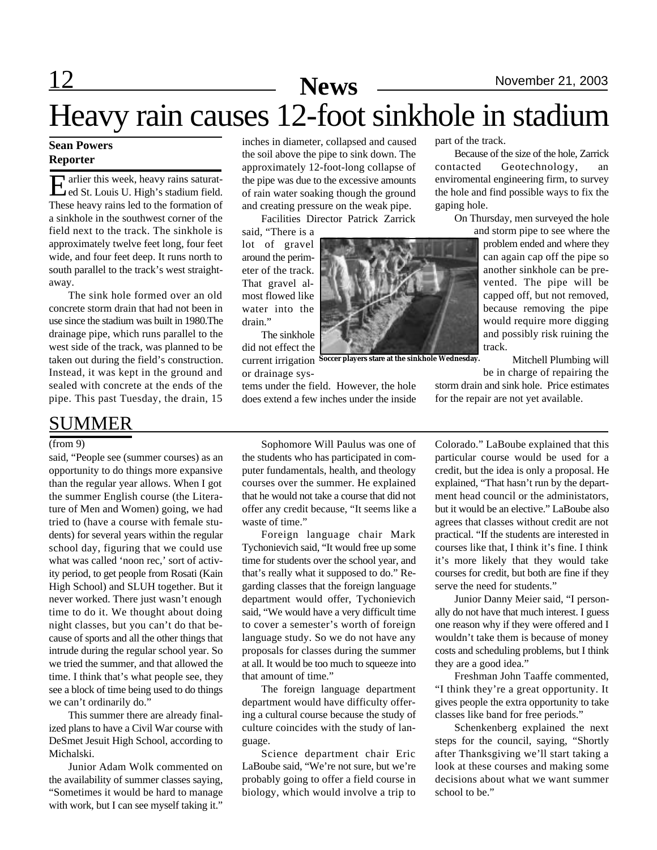# Heavy rain causes 12-foot sinkhole in stadium

#### **Sean Powers Reporter**

E arlier this week, heavy rains saturat-<br>ed St. Louis U. High's stadium field. ed St. Louis U. High's stadium field. These heavy rains led to the formation of a sinkhole in the southwest corner of the field next to the track. The sinkhole is approximately twelve feet long, four feet wide, and four feet deep. It runs north to south parallel to the track's west straightaway.

The sink hole formed over an old concrete storm drain that had not been in use since the stadium was built in 1980.The drainage pipe, which runs parallel to the west side of the track, was planned to be taken out during the field's construction. Instead, it was kept in the ground and sealed with concrete at the ends of the pipe. This past Tuesday, the drain, 15

### SUMMER

#### (from 9)

said, "People see (summer courses) as an opportunity to do things more expansive than the regular year allows. When I got the summer English course (the Literature of Men and Women) going, we had tried to (have a course with female students) for several years within the regular school day, figuring that we could use what was called 'noon rec,' sort of activity period, to get people from Rosati (Kain High School) and SLUH together. But it never worked. There just wasn't enough time to do it. We thought about doing night classes, but you can't do that because of sports and all the other things that intrude during the regular school year. So we tried the summer, and that allowed the time. I think that's what people see, they see a block of time being used to do things we can't ordinarily do."

This summer there are already finalized plans to have a Civil War course with DeSmet Jesuit High School, according to Michalski.

Junior Adam Wolk commented on the availability of summer classes saying, "Sometimes it would be hard to manage with work, but I can see myself taking it."

inches in diameter, collapsed and caused the soil above the pipe to sink down. The approximately 12-foot-long collapse of the pipe was due to the excessive amounts of rain water soaking though the ground and creating pressure on the weak pipe.

Facilities Director Patrick Zarrick

said, "There is a lot of gravel around the perimeter of the track. That gravel almost flowed like water into the drain"

The sinkhole did not effect the current irrigation **Soccer players stare at the sinkhole Wednesday.**or drainage sys-

tems under the field. However, the hole does extend a few inches under the inside

part of the track.

Because of the size of the hole, Zarrick contacted Geotechnology, an enviromental engineering firm, to survey the hole and find possible ways to fix the gaping hole.

On Thursday, men surveyed the hole

and storm pipe to see where the problem ended and where they can again cap off the pipe so another sinkhole can be prevented. The pipe will be capped off, but not removed, because removing the pipe would require more digging and possibly risk ruining the track.

Mitchell Plumbing will be in charge of repairing the

storm drain and sink hole. Price estimates for the repair are not yet available.

Sophomore Will Paulus was one of the students who has participated in computer fundamentals, health, and theology courses over the summer. He explained that he would not take a course that did not offer any credit because, "It seems like a waste of time."

Foreign language chair Mark Tychonievich said, "It would free up some time for students over the school year, and that's really what it supposed to do." Regarding classes that the foreign language department would offer, Tychonievich said, "We would have a very difficult time to cover a semester's worth of foreign language study. So we do not have any proposals for classes during the summer at all. It would be too much to squeeze into that amount of time."

The foreign language department department would have difficulty offering a cultural course because the study of culture coincides with the study of language.

Science department chair Eric LaBoube said, "We're not sure, but we're probably going to offer a field course in biology, which would involve a trip to

Colorado." LaBoube explained that this particular course would be used for a credit, but the idea is only a proposal. He explained, "That hasn't run by the department head council or the administators, but it would be an elective." LaBoube also agrees that classes without credit are not practical. "If the students are interested in courses like that, I think it's fine. I think it's more likely that they would take courses for credit, but both are fine if they serve the need for students."

Junior Danny Meier said, "I personally do not have that much interest. I guess one reason why if they were offered and I wouldn't take them is because of money costs and scheduling problems, but I think they are a good idea."

Freshman John Taaffe commented, "I think they're a great opportunity. It gives people the extra opportunity to take classes like band for free periods."

Schenkenberg explained the next steps for the council, saying, "Shortly after Thanksgiving we'll start taking a look at these courses and making some decisions about what we want summer school to be."

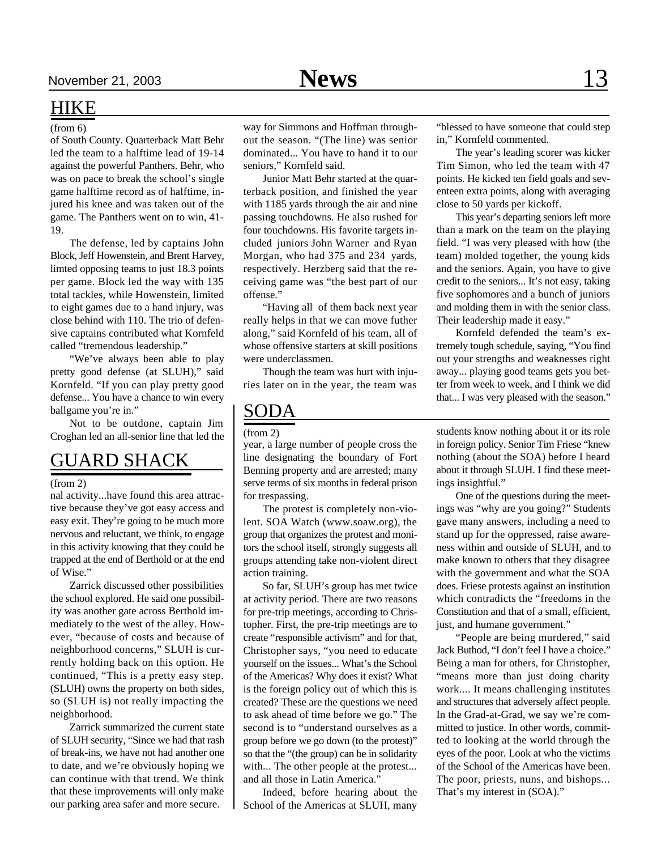### HIKE

#### (from 6)

of South County. Quarterback Matt Behr led the team to a halftime lead of 19-14 against the powerful Panthers. Behr, who was on pace to break the school's single game halftime record as of halftime, injured his knee and was taken out of the game. The Panthers went on to win, 41- 19.

The defense, led by captains John Block, Jeff Howenstein, and Brent Harvey, limted opposing teams to just 18.3 points per game. Block led the way with 135 total tackles, while Howenstein, limited to eight games due to a hand injury, was close behind with 110. The trio of defensive captains contributed what Kornfeld called "tremendous leadership."

"We've always been able to play pretty good defense (at SLUH)," said Kornfeld. "If you can play pretty good defense... You have a chance to win every ballgame you're in."

Not to be outdone, captain Jim Croghan led an all-senior line that led the

### GUARD SHACK

#### (from 2)

nal activity...have found this area attractive because they've got easy access and easy exit. They're going to be much more nervous and reluctant, we think, to engage in this activity knowing that they could be trapped at the end of Berthold or at the end of Wise."

Zarrick discussed other possibilities the school explored. He said one possibility was another gate across Berthold immediately to the west of the alley. However, "because of costs and because of neighborhood concerns," SLUH is currently holding back on this option. He continued, "This is a pretty easy step. (SLUH) owns the property on both sides, so (SLUH is) not really impacting the neighborhood.

Zarrick summarized the current state of SLUH security, "Since we had that rash of break-ins, we have not had another one to date, and we're obviously hoping we can continue with that trend. We think that these improvements will only make our parking area safer and more secure.

way for Simmons and Hoffman throughout the season. "(The line) was senior dominated... You have to hand it to our seniors," Kornfeld said.

Junior Matt Behr started at the quarterback position, and finished the year with 1185 yards through the air and nine passing touchdowns. He also rushed for four touchdowns. His favorite targets included juniors John Warner and Ryan Morgan, who had 375 and 234 yards, respectively. Herzberg said that the receiving game was "the best part of our offense."

"Having all of them back next year really helps in that we can move futher along," said Kornfeld of his team, all of whose offensive starters at skill positions were underclassmen.

Though the team was hurt with injuries later on in the year, the team was

### SODA

#### (from 2)

year, a large number of people cross the line designating the boundary of Fort Benning property and are arrested; many serve terms of six months in federal prison for trespassing.

The protest is completely non-violent. SOA Watch (www.soaw.org), the group that organizes the protest and monitors the school itself, strongly suggests all groups attending take non-violent direct action training.

So far, SLUH's group has met twice at activity period. There are two reasons for pre-trip meetings, according to Christopher. First, the pre-trip meetings are to create "responsible activism" and for that, Christopher says, "you need to educate yourself on the issues... What's the School of the Americas? Why does it exist? What is the foreign policy out of which this is created? These are the questions we need to ask ahead of time before we go." The second is to "understand ourselves as a group before we go down (to the protest)" so that the "(the group) can be in solidarity with... The other people at the protest... and all those in Latin America."

Indeed, before hearing about the School of the Americas at SLUH, many

"blessed to have someone that could step in," Kornfeld commented.

The year's leading scorer was kicker Tim Simon, who led the team with 47 points. He kicked ten field goals and seventeen extra points, along with averaging close to 50 yards per kickoff.

This year's departing seniors left more than a mark on the team on the playing field. "I was very pleased with how (the team) molded together, the young kids and the seniors. Again, you have to give credit to the seniors... It's not easy, taking five sophomores and a bunch of juniors and molding them in with the senior class. Their leadership made it easy."

Kornfeld defended the team's extremely tough schedule, saying, "You find out your strengths and weaknesses right away... playing good teams gets you better from week to week, and I think we did that... I was very pleased with the season."

students know nothing about it or its role in foreign policy. Senior Tim Friese "knew nothing (about the SOA) before I heard about it through SLUH. I find these meetings insightful."

One of the questions during the meetings was "why are you going?" Students gave many answers, including a need to stand up for the oppressed, raise awareness within and outside of SLUH, and to make known to others that they disagree with the government and what the SOA does. Friese protests against an institution which contradicts the "freedoms in the Constitution and that of a small, efficient, just, and humane government."

"People are being murdered," said Jack Buthod, "I don't feel I have a choice." Being a man for others, for Christopher, "means more than just doing charity work.... It means challenging institutes and structures that adversely affect people. In the Grad-at-Grad, we say we're committed to justice. In other words, committed to looking at the world through the eyes of the poor. Look at who the victims of the School of the Americas have been. The poor, priests, nuns, and bishops... That's my interest in (SOA)."